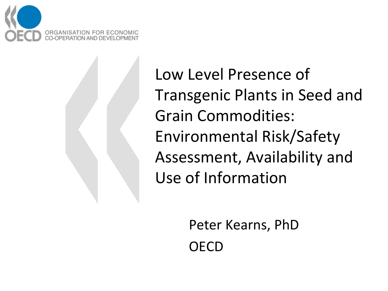

Low Level Presence of Transgenic Plants in Seed and Grain Commodities: Environmental Risk/Safety Assessment, Availability and Use of Information

> Peter Kearns, PhD OECD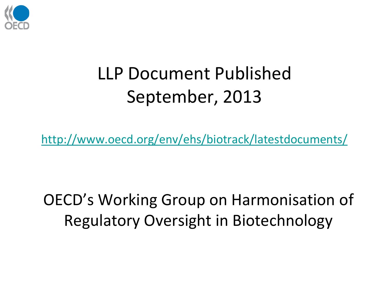

## LLP Document Published September, 2013

<http://www.oecd.org/env/ehs/biotrack/latestdocuments/>

OECD's Working Group on Harmonisation of Regulatory Oversight in Biotechnology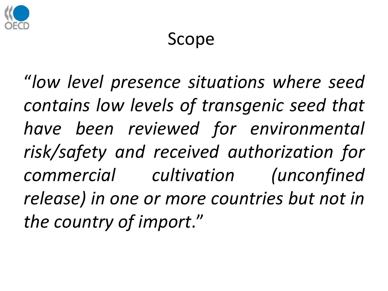

#### Scope

"*low level presence situations where seed contains low levels of transgenic seed that have been reviewed for environmental risk/safety and received authorization for commercial cultivation (unconfined release) in one or more countries but not in the country of import*."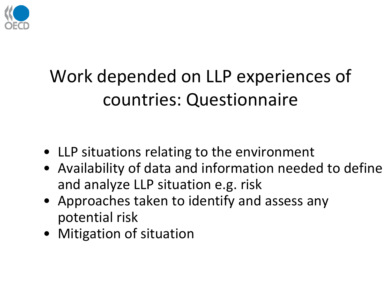

## Work depended on LLP experiences of countries: Questionnaire

- LLP situations relating to the environment
- Availability of data and information needed to define and analyze LLP situation e.g. risk
- Approaches taken to identify and assess any potential risk
- Mitigation of situation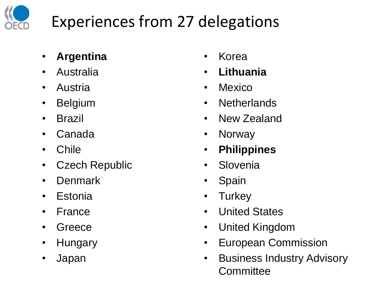

### Experiences from 27 delegations

- **Argentina**
- Australia
- Austria
- Belgium
- Brazil
- Canada
- Chile
- Czech Republic
- Denmark
- Estonia
- France
- Greece
- Hungary
- Japan
- Korea
- **Lithuania**
- Mexico
- Netherlands
- New Zealand
- Norway
- **Philippines**
- Slovenia
- Spain
- Turkey
- United States
- United Kingdom
- European Commission
- Business Industry Advisory **Committee**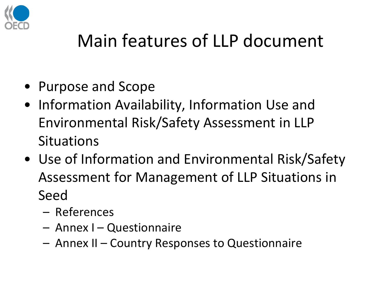

## Main features of LLP document

- Purpose and Scope
- Information Availability, Information Use and Environmental Risk/Safety Assessment in LLP **Situations**
- Use of Information and Environmental Risk/Safety Assessment for Management of LLP Situations in Seed
	- References
	- Annex I Questionnaire
	- Annex II Country Responses to Questionnaire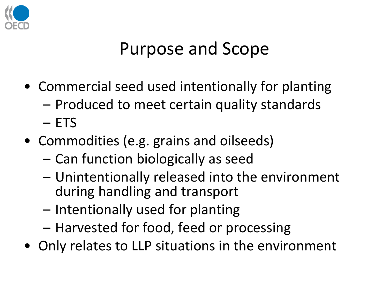

### Purpose and Scope

- Commercial seed used intentionally for planting – Produced to meet certain quality standards – ETS
- Commodities (e.g. grains and oilseeds)
	- Can function biologically as seed
	- Unintentionally released into the environment during handling and transport
	- Intentionally used for planting
	- Harvested for food, feed or processing
- Only relates to LLP situations in the environment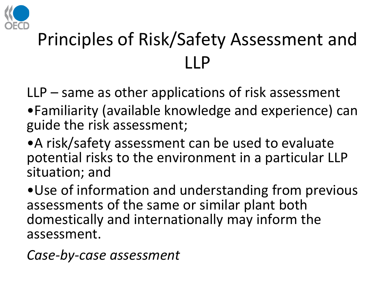

# Principles of Risk/Safety Assessment and LLP

LLP – same as other applications of risk assessment

- •Familiarity (available knowledge and experience) can guide the risk assessment;
- •A risk/safety assessment can be used to evaluate potential risks to the environment in a particular LLP situation; and

•Use of information and understanding from previous assessments of the same or similar plant both domestically and internationally may inform the assessment.

*Case-by-case assessment*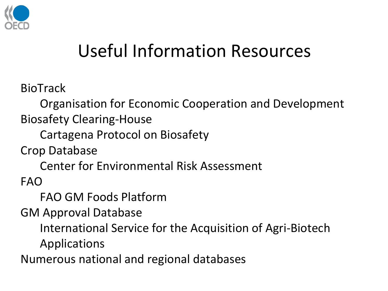

### Useful Information Resources

BioTrack

Organisation for Economic Cooperation and Development Biosafety Clearing-House

Cartagena Protocol on Biosafety

Crop Database

Center for Environmental Risk Assessment

FAO

FAO GM Foods Platform

GM Approval Database

International Service for the Acquisition of Agri-Biotech

Applications

Numerous national and regional databases